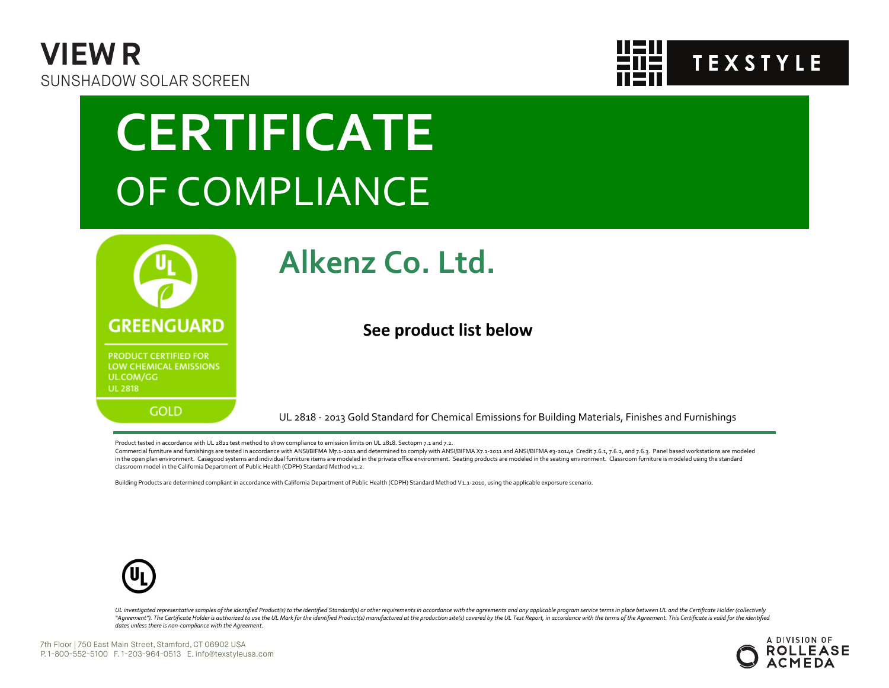



# **CERTIFICATE** OF COMPLIANCE



### **Alkenz Co. Ltd.**

#### **See product list below**

UL 2818 - 2013 Gold Standard for Chemical Emissions for Building Materials, Finishes and Furnishings

Product tested in accordance with UL 2821 test method to show compliance to emission limits on UL 2818. Sectopm 7.1 and 7.2.

Commercial furniture and furnishings are tested in accordance with ANSI/BIFMA M7.1-2011 and determined to comply with ANSI/BIFMA X7.1-2011 and ANSI/BIFMA e3-2014e Credit 7.6.1, 7.6.2, and 7.6.3. Panel based workstations ar in the open plan environment. Casegood systems and individual furniture items are modeled in the private office environment. Seating products are modeled in the seating environment. Classroom furniture is modeled using the classroom model in the California Department of Public Health (CDPH) Standard Method v1.2.

Building Products are determined compliant in accordance with California Department of Public Health (CDPH) Standard Method V1.1-2010, using the applicable exporsure scenario.



UL investigated representative samples of the identified Product(s) to the identified Standard(s) or other requirements in accordance with the agreements and any applicable program service terms in place between UL and the "Agreement"). The Certificate Holder is authorized to use the UL Mark for the identified Product(s) manufactured at the production site(s) covered by the UL Test Report, in accordance with the terms of the Agreement. This *dates unless there is non-compliance with the Agreement.*

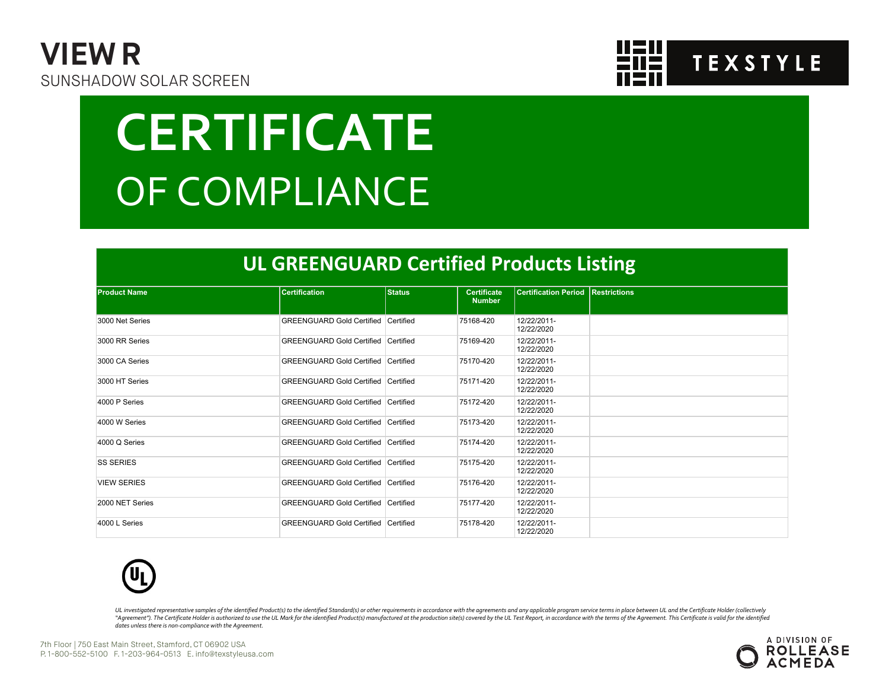



# **CERTIFICATE** OF COMPLIANCE

#### **UL GREENGUARD Certified Products Listing**

| <b>Product Name</b> | <b>Certification</b>                       | <b>Status</b> | <b>Certificate</b> | <b>Certification Period Restrictions</b> |  |
|---------------------|--------------------------------------------|---------------|--------------------|------------------------------------------|--|
|                     |                                            |               | <b>Number</b>      |                                          |  |
| 3000 Net Series     | <b>GREENGUARD Gold Certified Certified</b> |               | 75168-420          | 12/22/2011-<br>12/22/2020                |  |
| 3000 RR Series      | <b>GREENGUARD Gold Certified Certified</b> |               | 75169-420          | 12/22/2011-<br>12/22/2020                |  |
| 3000 CA Series      | <b>GREENGUARD Gold Certified Certified</b> |               | 75170-420          | 12/22/2011-<br>12/22/2020                |  |
| 3000 HT Series      | GREENGUARD Gold Certified Certified        |               | 75171-420          | 12/22/2011-<br>12/22/2020                |  |
| 4000 P Series       | <b>GREENGUARD Gold Certified Certified</b> |               | 75172-420          | 12/22/2011-<br>12/22/2020                |  |
| 4000 W Series       | <b>GREENGUARD Gold Certified Certified</b> |               | 75173-420          | 12/22/2011-<br>12/22/2020                |  |
| 4000 Q Series       | GREENGUARD Gold Certified   Certified      |               | 75174-420          | 12/22/2011-<br>12/22/2020                |  |
| <b>SS SERIES</b>    | <b>GREENGUARD Gold Certified Certified</b> |               | 75175-420          | 12/22/2011-<br>12/22/2020                |  |
| <b>VIEW SERIES</b>  | <b>GREENGUARD Gold Certified Certified</b> |               | 75176-420          | 12/22/2011-<br>12/22/2020                |  |
| 2000 NET Series     | GREENGUARD Gold Certified Certified        |               | 75177-420          | 12/22/2011-<br>12/22/2020                |  |
| 4000 L Series       | <b>GREENGUARD Gold Certified Certified</b> |               | 75178-420          | 12/22/2011-<br>12/22/2020                |  |



UL investigated representative samples of the identified Product(s) to the identified Standard(s) or other requirements in accordance with the agreements and any applicable program service terms in place between UL and the "Agreement"). The Certificate Holder is authorized to use the UL Mark for the identified Product(s) manufactured at the production site(s) covered by the UL Test Report, in accordance with the terms of the Agreement. This *dates unless there is non-compliance with the Agreement.*

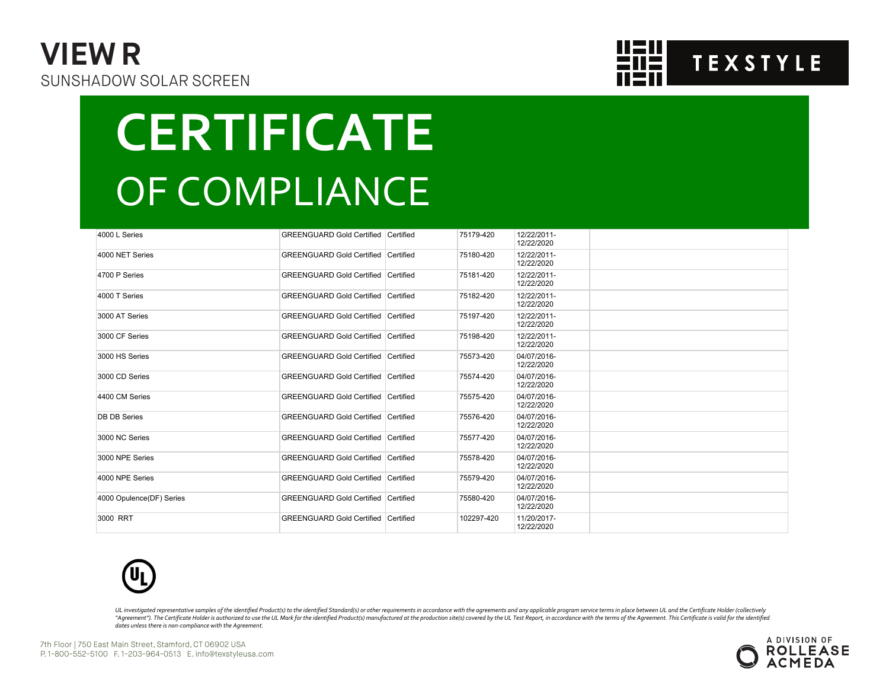### **VIEW R** SUNSHADOW SOLAR SCREEN



# **CERTIFICATE** OF COMPLIANCE

| 4000 L Series            | <b>GREENGUARD Gold Certified Certified</b> | 75179-420  | 12/22/2011-<br>12/22/2020 |  |
|--------------------------|--------------------------------------------|------------|---------------------------|--|
| 4000 NET Series          | <b>GREENGUARD Gold Certified Certified</b> | 75180-420  | 12/22/2011-<br>12/22/2020 |  |
| 4700 P Series            | <b>GREENGUARD Gold Certified Certified</b> | 75181-420  | 12/22/2011-<br>12/22/2020 |  |
| 4000 T Series            | <b>GREENGUARD Gold Certified Certified</b> | 75182-420  | 12/22/2011-<br>12/22/2020 |  |
| 3000 AT Series           | <b>GREENGUARD Gold Certified Certified</b> | 75197-420  | 12/22/2011-<br>12/22/2020 |  |
| 3000 CF Series           | <b>GREENGUARD Gold Certified Certified</b> | 75198-420  | 12/22/2011-<br>12/22/2020 |  |
| 3000 HS Series           | <b>GREENGUARD Gold Certified Certified</b> | 75573-420  | 04/07/2016-<br>12/22/2020 |  |
| 3000 CD Series           | <b>GREENGUARD Gold Certified Certified</b> | 75574-420  | 04/07/2016-<br>12/22/2020 |  |
| 4400 CM Series           | <b>GREENGUARD Gold Certified Certified</b> | 75575-420  | 04/07/2016-<br>12/22/2020 |  |
| <b>DB DB Series</b>      | <b>GREENGUARD Gold Certified Certified</b> | 75576-420  | 04/07/2016-<br>12/22/2020 |  |
| 3000 NC Series           | <b>GREENGUARD Gold Certified Certified</b> | 75577-420  | 04/07/2016-<br>12/22/2020 |  |
| 3000 NPE Series          | <b>GREENGUARD Gold Certified Certified</b> | 75578-420  | 04/07/2016-<br>12/22/2020 |  |
| 4000 NPE Series          | <b>GREENGUARD Gold Certified Certified</b> | 75579-420  | 04/07/2016-<br>12/22/2020 |  |
| 4000 Opulence(DF) Series | <b>GREENGUARD Gold Certified Certified</b> | 75580-420  | 04/07/2016-<br>12/22/2020 |  |
| 3000 RRT                 | GREENGUARD Gold Certified Certified        | 102297-420 | 11/20/2017-<br>12/22/2020 |  |



UL investigated representative samples of the identified Product(s) to the identified Standard(s) or other requirements in accordance with the agreements and any applicable program service terms in place between UL and the "Agreement"). The Certificate Holder is authorized to use the UL Mark for the identified Product(s) manufactured at the production site(s) covered by the UL Test Report, in accordance with the terms of the Agreement. This *dates unless there is non-compliance with the Agreement.*